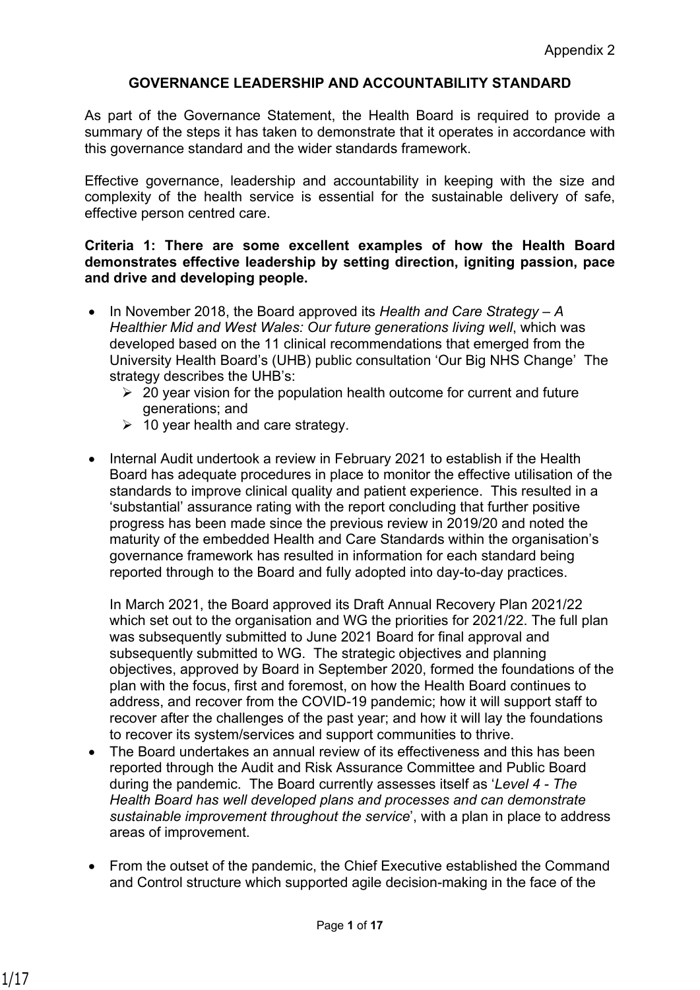## **GOVERNANCE LEADERSHIP AND ACCOUNTABILITY STANDARD**

As part of the Governance Statement, the Health Board is required to provide a summary of the steps it has taken to demonstrate that it operates in accordance with this governance standard and the wider standards framework.

Effective governance, leadership and accountability in keeping with the size and complexity of the health service is essential for the sustainable delivery of safe, effective person centred care.

### **Criteria 1: There are some excellent examples of how the Health Board demonstrates effective leadership by setting direction, igniting passion, pace and drive and developing people.**

- In November 2018, the Board approved its *Health and Care Strategy A Healthier Mid and West Wales: Our future generations living well*, which was developed based on the 11 clinical recommendations that emerged from the University Health Board's (UHB) public consultation 'Our Big NHS Change' The strategy describes the UHB's:
	- $\geq 20$  year vision for the population health outcome for current and future generations; and
	- $\geq 10$  year health and care strategy.
- Internal Audit undertook a review in February 2021 to establish if the Health Board has adequate procedures in place to monitor the effective utilisation of the standards to improve clinical quality and patient experience. This resulted in a 'substantial' assurance rating with the report concluding that further positive progress has been made since the previous review in 2019/20 and noted the maturity of the embedded Health and Care Standards within the organisation's governance framework has resulted in information for each standard being reported through to the Board and fully adopted into day-to-day practices.

In March 2021, the Board approved its Draft Annual Recovery Plan 2021/22 which set out to the organisation and WG the priorities for 2021/22. The full plan was subsequently submitted to June 2021 Board for final approval and subsequently submitted to WG. The strategic objectives and planning objectives, approved by Board in September 2020, formed the foundations of the plan with the focus, first and foremost, on how the Health Board continues to address, and recover from the COVID-19 pandemic; how it will support staff to recover after the challenges of the past year; and how it will lay the foundations to recover its system/services and support communities to thrive.

- The Board undertakes an annual review of its effectiveness and this has been reported through the Audit and Risk Assurance Committee and Public Board during the pandemic. The Board currently assesses itself as '*Level 4 - The Health Board has well developed plans and processes and can demonstrate sustainable improvement throughout the service*', with a plan in place to address areas of improvement.
- From the outset of the pandemic, the Chief Executive established the Command and Control structure which supported agile decision-making in the face of the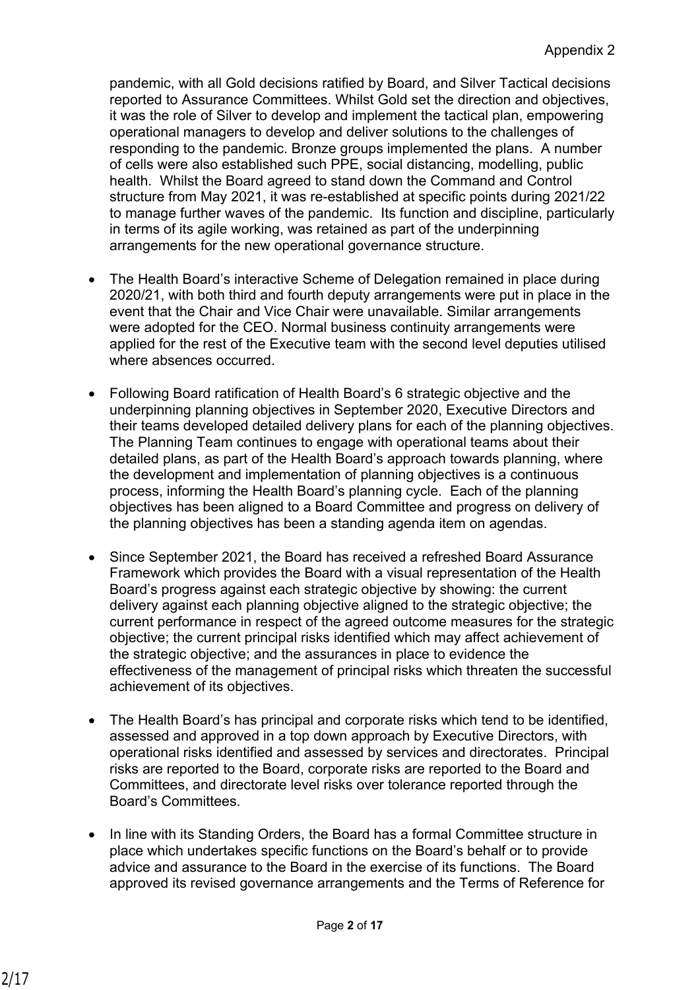pandemic, with all Gold decisions ratified by Board, and Silver Tactical decisions reported to Assurance Committees. Whilst Gold set the direction and objectives, it was the role of Silver to develop and implement the tactical plan, empowering operational managers to develop and deliver solutions to the challenges of responding to the pandemic. Bronze groups implemented the plans. A number of cells were also established such PPE, social distancing, modelling, public health. Whilst the Board agreed to stand down the Command and Control structure from May 2021, it was re-established at specific points during 2021/22 to manage further waves of the pandemic. Its function and discipline, particularly in terms of its agile working, was retained as part of the underpinning arrangements for the new operational governance structure.

- The Health Board's interactive Scheme of Delegation remained in place during 2020/21, with both third and fourth deputy arrangements were put in place in the event that the Chair and Vice Chair were unavailable. Similar arrangements were adopted for the CEO. Normal business continuity arrangements were applied for the rest of the Executive team with the second level deputies utilised where absences occurred.
- Following Board ratification of Health Board's 6 strategic objective and the underpinning planning objectives in September 2020, Executive Directors and their teams developed detailed delivery plans for each of the planning objectives. The Planning Team continues to engage with operational teams about their detailed plans, as part of the Health Board's approach towards planning, where the development and implementation of planning objectives is a continuous process, informing the Health Board's planning cycle. Each of the planning objectives has been aligned to a Board Committee and progress on delivery of the planning objectives has been a standing agenda item on agendas.
- Since September 2021, the Board has received a refreshed Board Assurance Framework which provides the Board with a visual representation of the Health Board's progress against each strategic objective by showing: the current delivery against each planning objective aligned to the strategic objective; the current performance in respect of the agreed outcome measures for the strategic objective; the current principal risks identified which may affect achievement of the strategic objective; and the assurances in place to evidence the effectiveness of the management of principal risks which threaten the successful achievement of its objectives.
- The Health Board's has principal and corporate risks which tend to be identified, assessed and approved in a top down approach by Executive Directors, with operational risks identified and assessed by services and directorates. Principal risks are reported to the Board, corporate risks are reported to the Board and Committees, and directorate level risks over tolerance reported through the Board's Committees.
- In line with its Standing Orders, the Board has a formal Committee structure in place which undertakes specific functions on the Board's behalf or to provide advice and assurance to the Board in the exercise of its functions. The Board approved its revised governance arrangements and the Terms of Reference for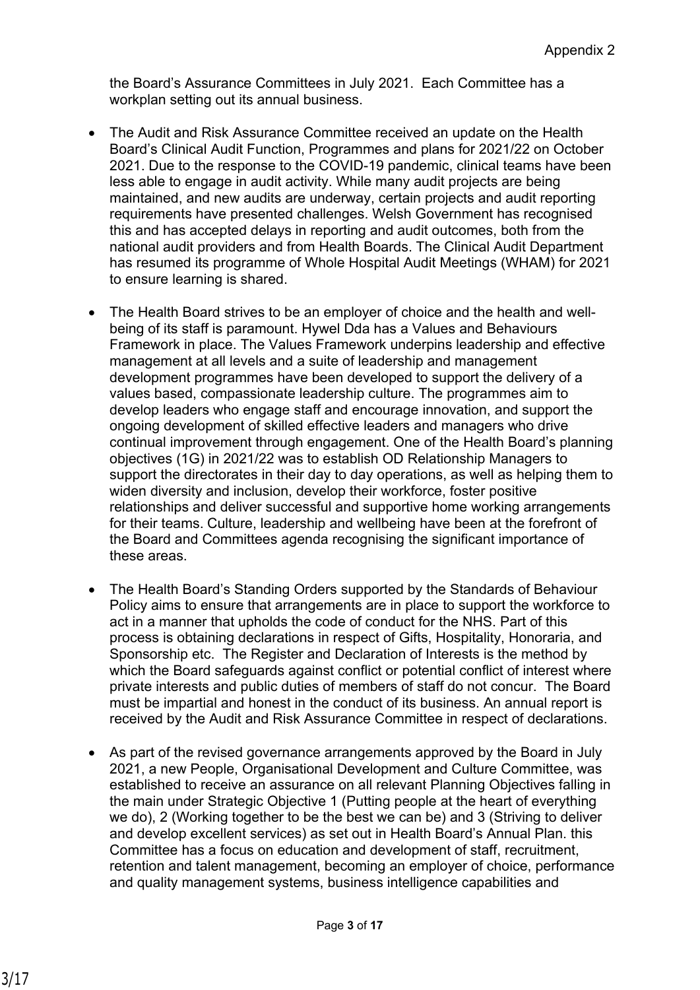the Board's Assurance Committees in July 2021. Each Committee has a workplan setting out its annual business.

- The Audit and Risk Assurance Committee received an update on the Health Board's Clinical Audit Function, Programmes and plans for 2021/22 on October 2021. Due to the response to the COVID-19 pandemic, clinical teams have been less able to engage in audit activity. While many audit projects are being maintained, and new audits are underway, certain projects and audit reporting requirements have presented challenges. Welsh Government has recognised this and has accepted delays in reporting and audit outcomes, both from the national audit providers and from Health Boards. The Clinical Audit Department has resumed its programme of Whole Hospital Audit Meetings (WHAM) for 2021 to ensure learning is shared.
- The Health Board strives to be an employer of choice and the health and wellbeing of its staff is paramount. Hywel Dda has a Values and Behaviours Framework in place. The Values Framework underpins leadership and effective management at all levels and a suite of leadership and management development programmes have been developed to support the delivery of a values based, compassionate leadership culture. The programmes aim to develop leaders who engage staff and encourage innovation, and support the ongoing development of skilled effective leaders and managers who drive continual improvement through engagement. One of the Health Board's planning objectives (1G) in 2021/22 was to establish OD Relationship Managers to support the directorates in their day to day operations, as well as helping them to widen diversity and inclusion, develop their workforce, foster positive relationships and deliver successful and supportive home working arrangements for their teams. Culture, leadership and wellbeing have been at the forefront of the Board and Committees agenda recognising the significant importance of these areas.
- The Health Board's Standing Orders supported by the Standards of Behaviour Policy aims to ensure that arrangements are in place to support the workforce to act in a manner that upholds the code of conduct for the NHS. Part of this process is obtaining declarations in respect of Gifts, Hospitality, Honoraria, and Sponsorship etc. The Register and Declaration of Interests is the method by which the Board safeguards against conflict or potential conflict of interest where private interests and public duties of members of staff do not concur. The Board must be impartial and honest in the conduct of its business. An annual report is received by the Audit and Risk Assurance Committee in respect of declarations.
- As part of the revised governance arrangements approved by the Board in July 2021, a new People, Organisational Development and Culture Committee, was established to receive an assurance on all relevant Planning Objectives falling in the main under Strategic Objective 1 (Putting people at the heart of everything we do), 2 (Working together to be the best we can be) and 3 (Striving to deliver and develop excellent services) as set out in Health Board's Annual Plan. this Committee has a focus on education and development of staff, recruitment, retention and talent management, becoming an employer of choice, performance and quality management systems, business intelligence capabilities and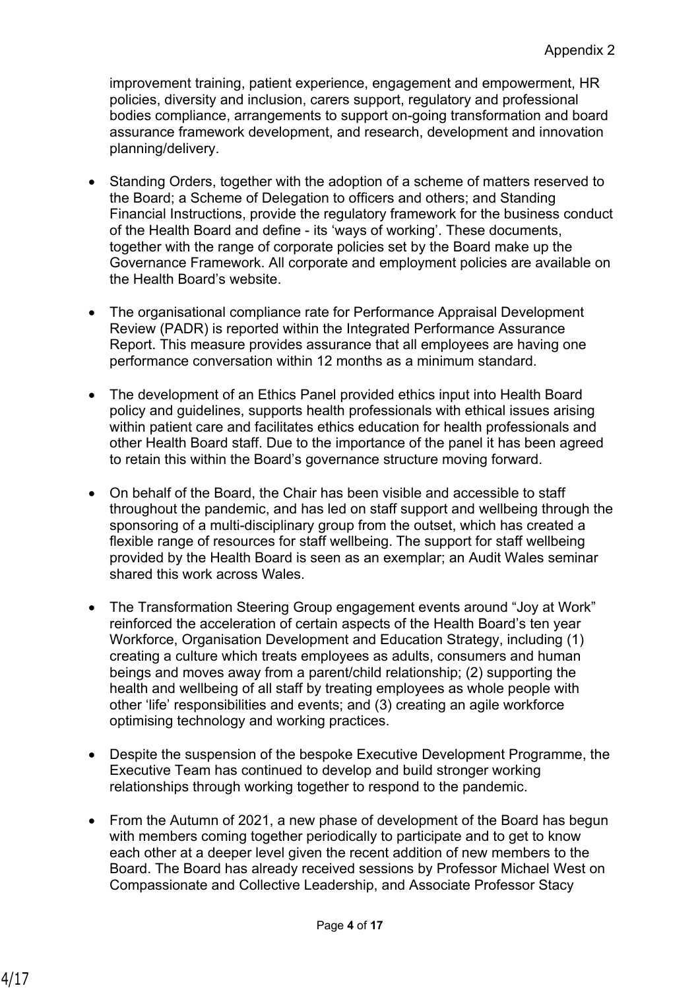improvement training, patient experience, engagement and empowerment, HR policies, diversity and inclusion, carers support, regulatory and professional bodies compliance, arrangements to support on-going transformation and board assurance framework development, and research, development and innovation planning/delivery.

- Standing Orders, together with the adoption of a scheme of matters reserved to the Board; a Scheme of Delegation to officers and others; and Standing Financial Instructions, provide the regulatory framework for the business conduct of the Health Board and define - its 'ways of working'. These documents, together with the range of corporate policies set by the Board make up the Governance Framework. All corporate and employment policies are available on the Health Board's website.
- The organisational compliance rate for Performance Appraisal Development Review (PADR) is reported within the Integrated Performance Assurance Report. This measure provides assurance that all employees are having one performance conversation within 12 months as a minimum standard.
- The development of an Ethics Panel provided ethics input into Health Board policy and guidelines, supports health professionals with ethical issues arising within patient care and facilitates ethics education for health professionals and other Health Board staff. Due to the importance of the panel it has been agreed to retain this within the Board's governance structure moving forward.
- On behalf of the Board, the Chair has been visible and accessible to staff throughout the pandemic, and has led on staff support and wellbeing through the sponsoring of a multi-disciplinary group from the outset, which has created a flexible range of resources for staff wellbeing. The support for staff wellbeing provided by the Health Board is seen as an exemplar; an Audit Wales seminar shared this work across Wales.
- The Transformation Steering Group engagement events around "Joy at Work" reinforced the acceleration of certain aspects of the Health Board's ten year Workforce, Organisation Development and Education Strategy, including (1) creating a culture which treats employees as adults, consumers and human beings and moves away from a parent/child relationship; (2) supporting the health and wellbeing of all staff by treating employees as whole people with other 'life' responsibilities and events; and (3) creating an agile workforce optimising technology and working practices.
- Despite the suspension of the bespoke Executive Development Programme, the Executive Team has continued to develop and build stronger working relationships through working together to respond to the pandemic.
- From the Autumn of 2021, a new phase of development of the Board has begun with members coming together periodically to participate and to get to know each other at a deeper level given the recent addition of new members to the Board. The Board has already received sessions by Professor Michael West on Compassionate and Collective Leadership, and Associate Professor Stacy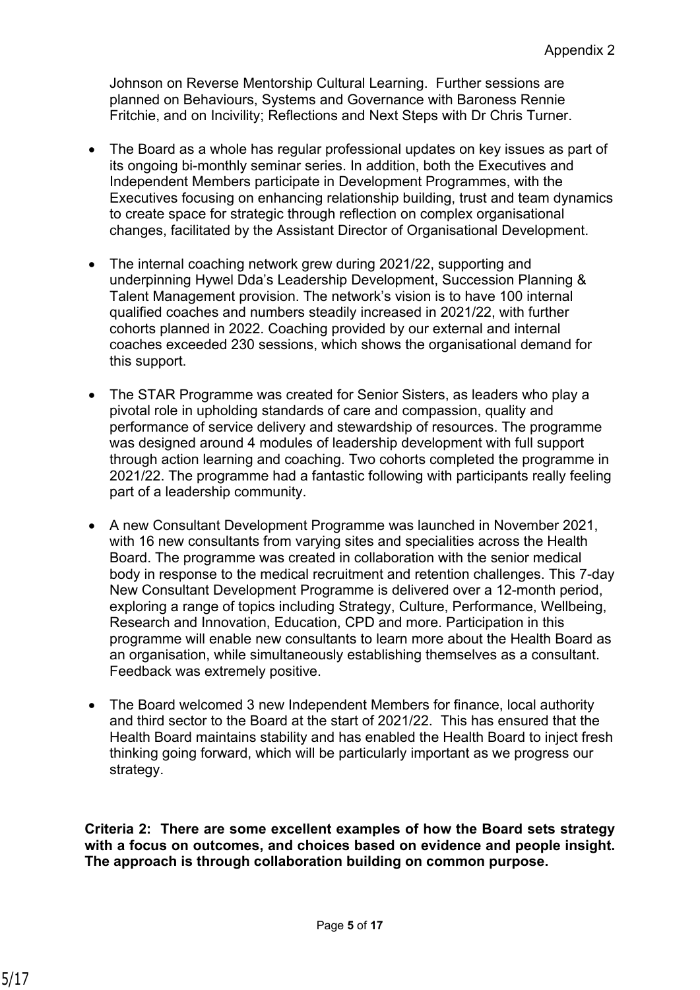Johnson on Reverse Mentorship Cultural Learning. Further sessions are planned on Behaviours, Systems and Governance with Baroness Rennie Fritchie, and on Incivility; Reflections and Next Steps with Dr Chris Turner.

- The Board as a whole has regular professional updates on key issues as part of its ongoing bi-monthly seminar series. In addition, both the Executives and Independent Members participate in Development Programmes, with the Executives focusing on enhancing relationship building, trust and team dynamics to create space for strategic through reflection on complex organisational changes, facilitated by the Assistant Director of Organisational Development.
- The internal coaching network grew during 2021/22, supporting and underpinning Hywel Dda's Leadership Development, Succession Planning & Talent Management provision. The network's vision is to have 100 internal qualified coaches and numbers steadily increased in 2021/22, with further cohorts planned in 2022. Coaching provided by our external and internal coaches exceeded 230 sessions, which shows the organisational demand for this support.
- The STAR Programme was created for Senior Sisters, as leaders who play a pivotal role in upholding standards of care and compassion, quality and performance of service delivery and stewardship of resources. The programme was designed around 4 modules of leadership development with full support through action learning and coaching. Two cohorts completed the programme in 2021/22. The programme had a fantastic following with participants really feeling part of a leadership community.
- A new Consultant Development Programme was launched in November 2021, with 16 new consultants from varying sites and specialities across the Health Board. The programme was created in collaboration with the senior medical body in response to the medical recruitment and retention challenges. This 7-day New Consultant Development Programme is delivered over a 12-month period, exploring a range of topics including Strategy, Culture, Performance, Wellbeing, Research and Innovation, Education, CPD and more. Participation in this programme will enable new consultants to learn more about the Health Board as an organisation, while simultaneously establishing themselves as a consultant. Feedback was extremely positive.
- The Board welcomed 3 new Independent Members for finance, local authority and third sector to the Board at the start of 2021/22. This has ensured that the Health Board maintains stability and has enabled the Health Board to inject fresh thinking going forward, which will be particularly important as we progress our strategy.

**Criteria 2: There are some excellent examples of how the Board sets strategy with a focus on outcomes, and choices based on evidence and people insight. The approach is through collaboration building on common purpose.**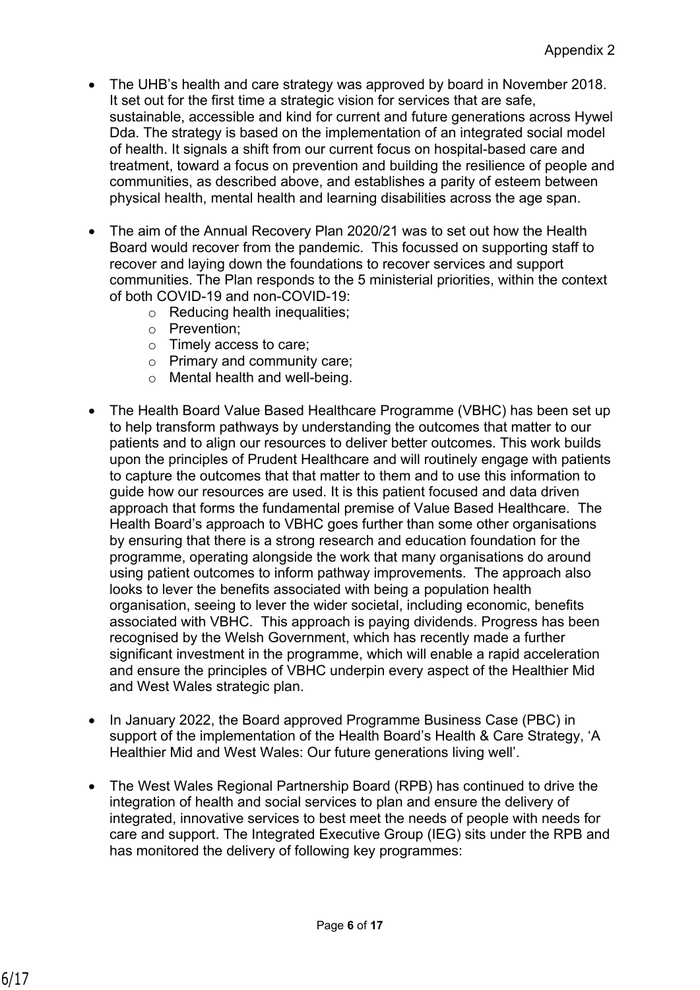- The UHB's health and care strategy was approved by board in November 2018. It set out for the first time a strategic vision for services that are safe, sustainable, accessible and kind for current and future generations across Hywel Dda. The strategy is based on the implementation of an integrated social model of health. It signals a shift from our current focus on hospital-based care and treatment, toward a focus on prevention and building the resilience of people and communities, as described above, and establishes a parity of esteem between physical health, mental health and learning disabilities across the age span.
- The aim of the Annual Recovery Plan 2020/21 was to set out how the Health Board would recover from the pandemic. This focussed on supporting staff to recover and laying down the foundations to recover services and support communities. The Plan responds to the 5 ministerial priorities, within the context of both COVID-19 and non-COVID-19:
	- o Reducing health inequalities;
	- o Prevention;
	- o Timely access to care;
	- o Primary and community care;
	- o Mental health and well-being.
- The Health Board Value Based Healthcare Programme (VBHC) has been set up to help transform pathways by understanding the outcomes that matter to our patients and to align our resources to deliver better outcomes. This work builds upon the principles of Prudent Healthcare and will routinely engage with patients to capture the outcomes that that matter to them and to use this information to guide how our resources are used. It is this patient focused and data driven approach that forms the fundamental premise of Value Based Healthcare. The Health Board's approach to VBHC goes further than some other organisations by ensuring that there is a strong research and education foundation for the programme, operating alongside the work that many organisations do around using patient outcomes to inform pathway improvements. The approach also looks to lever the benefits associated with being a population health organisation, seeing to lever the wider societal, including economic, benefits associated with VBHC. This approach is paying dividends. Progress has been recognised by the Welsh Government, which has recently made a further significant investment in the programme, which will enable a rapid acceleration and ensure the principles of VBHC underpin every aspect of the Healthier Mid and West Wales strategic plan.
- In January 2022, the Board approved Programme Business Case (PBC) in support of the implementation of the Health Board's Health & Care Strategy, 'A Healthier Mid and West Wales: Our future generations living well'.
- The West Wales Regional Partnership Board (RPB) has continued to drive the integration of health and social services to plan and ensure the delivery of integrated, innovative services to best meet the needs of people with needs for care and support. The Integrated Executive Group (IEG) sits under the RPB and has monitored the delivery of following key programmes: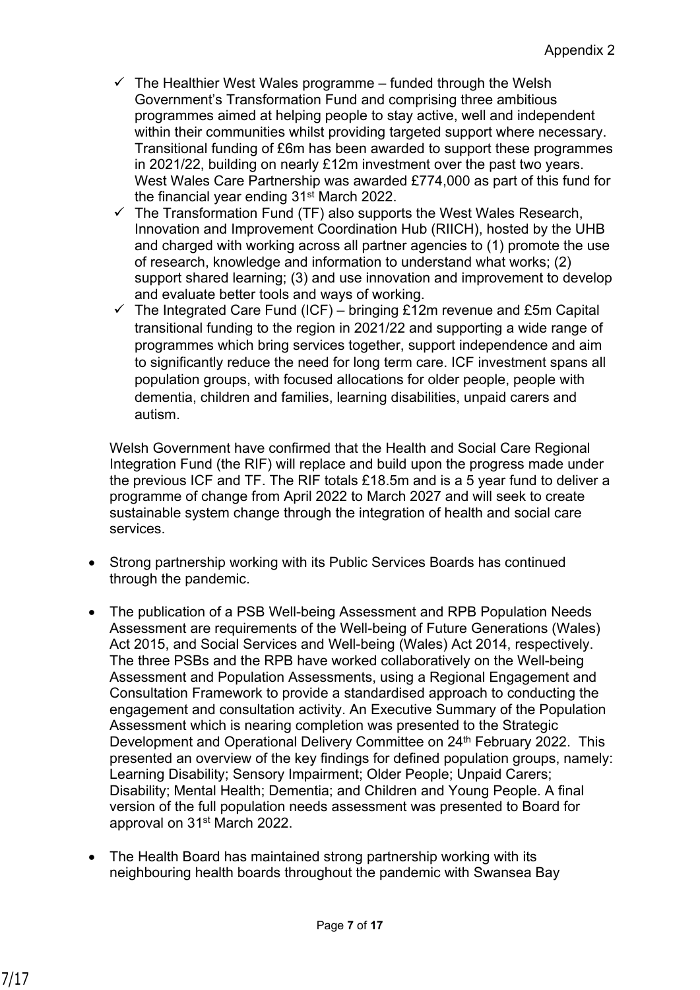- $\checkmark$  The Healthier West Wales programme funded through the Welsh Government's Transformation Fund and comprising three ambitious programmes aimed at helping people to stay active, well and independent within their communities whilst providing targeted support where necessary. Transitional funding of £6m has been awarded to support these programmes in 2021/22, building on nearly £12m investment over the past two years. West Wales Care Partnership was awarded £774,000 as part of this fund for the financial year ending 31st March 2022.
- $\checkmark$  The Transformation Fund (TF) also supports the West Wales Research, Innovation and Improvement Coordination Hub (RIICH), hosted by the UHB and charged with working across all partner agencies to (1) promote the use of research, knowledge and information to understand what works; (2) support shared learning; (3) and use innovation and improvement to develop and evaluate better tools and ways of working.
- $\checkmark$  The Integrated Care Fund (ICF) bringing £12m revenue and £5m Capital transitional funding to the region in 2021/22 and supporting a wide range of programmes which bring services together, support independence and aim to significantly reduce the need for long term care. ICF investment spans all population groups, with focused allocations for older people, people with dementia, children and families, learning disabilities, unpaid carers and autism.

Welsh Government have confirmed that the Health and Social Care Regional Integration Fund (the RIF) will replace and build upon the progress made under the previous ICF and TF. The RIF totals £18.5m and is a 5 year fund to deliver a programme of change from April 2022 to March 2027 and will seek to create sustainable system change through the integration of health and social care services.

- Strong partnership working with its Public Services Boards has continued through the pandemic.
- The publication of a PSB Well-being Assessment and RPB Population Needs Assessment are requirements of the Well-being of Future Generations (Wales) Act 2015, and Social Services and Well-being (Wales) Act 2014, respectively. The three PSBs and the RPB have worked collaboratively on the Well-being Assessment and Population Assessments, using a Regional Engagement and Consultation Framework to provide a standardised approach to conducting the engagement and consultation activity. An Executive Summary of the Population Assessment which is nearing completion was presented to the Strategic Development and Operational Delivery Committee on 24<sup>th</sup> February 2022. This presented an overview of the key findings for defined population groups, namely: Learning Disability; Sensory Impairment; Older People; Unpaid Carers; Disability; Mental Health; Dementia; and Children and Young People. A final version of the full population needs assessment was presented to Board for approval on 31st March 2022.
- The Health Board has maintained strong partnership working with its neighbouring health boards throughout the pandemic with Swansea Bay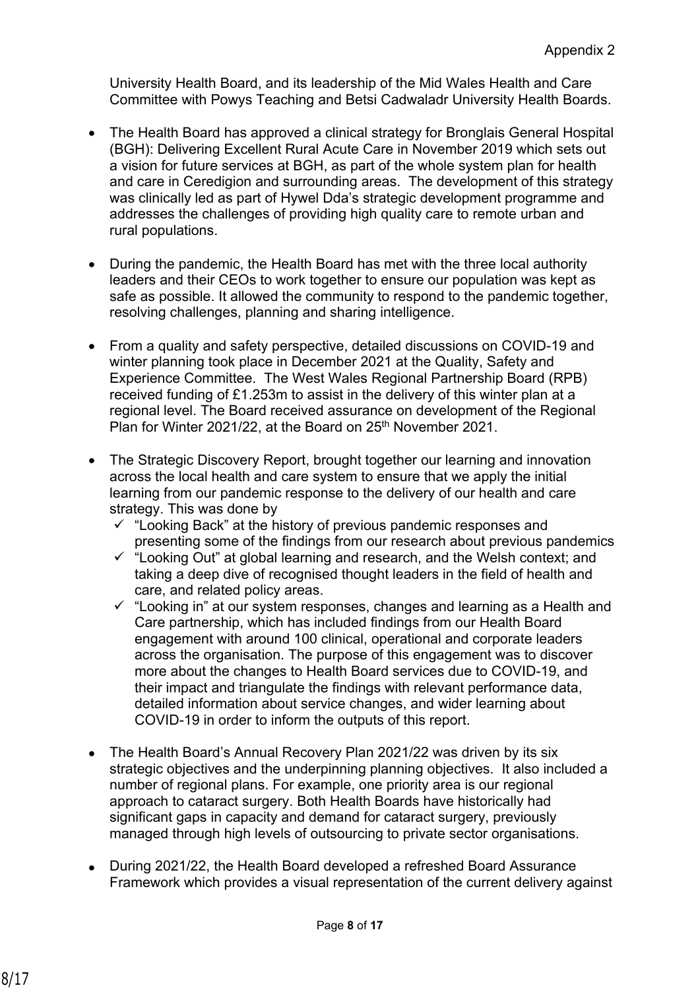University Health Board, and its leadership of the Mid Wales Health and Care Committee with Powys Teaching and Betsi Cadwaladr University Health Boards.

- The Health Board has approved a clinical strategy for Bronglais General Hospital (BGH): Delivering Excellent Rural Acute Care in November 2019 which sets out a vision for future services at BGH, as part of the whole system plan for health and care in Ceredigion and surrounding areas. The development of this strategy was clinically led as part of Hywel Dda's strategic development programme and addresses the challenges of providing high quality care to remote urban and rural populations.
- During the pandemic, the Health Board has met with the three local authority leaders and their CEOs to work together to ensure our population was kept as safe as possible. It allowed the community to respond to the pandemic together, resolving challenges, planning and sharing intelligence.
- From a quality and safety perspective, detailed discussions on COVID-19 and winter planning took place in December 2021 at the Quality, Safety and Experience Committee. The West Wales Regional Partnership Board (RPB) received funding of £1.253m to assist in the delivery of this winter plan at a regional level. The Board received assurance on development of the Regional Plan for Winter 2021/22, at the Board on 25<sup>th</sup> November 2021.
- The Strategic Discovery Report, brought together our learning and innovation across the local health and care system to ensure that we apply the initial learning from our pandemic response to the delivery of our health and care strategy. This was done by
	- ✓ "Looking Back" at the history of previous pandemic responses and presenting some of the findings from our research about previous pandemics
	- ✓ "Looking Out" at global learning and research, and the Welsh context; and taking a deep dive of recognised thought leaders in the field of health and care, and related policy areas.
	- ✓ "Looking in" at our system responses, changes and learning as a Health and Care partnership, which has included findings from our Health Board engagement with around 100 clinical, operational and corporate leaders across the organisation. The purpose of this engagement was to discover more about the changes to Health Board services due to COVID-19, and their impact and triangulate the findings with relevant performance data, detailed information about service changes, and wider learning about COVID-19 in order to inform the outputs of this report.
- The Health Board's Annual Recovery Plan 2021/22 was driven by its six strategic objectives and the underpinning planning objectives. It also included a number of regional plans. For example, one priority area is our regional approach to cataract surgery. Both Health Boards have historically had significant gaps in capacity and demand for cataract surgery, previously managed through high levels of outsourcing to private sector organisations.
- During 2021/22, the Health Board developed a refreshed Board Assurance Framework which provides a visual representation of the current delivery against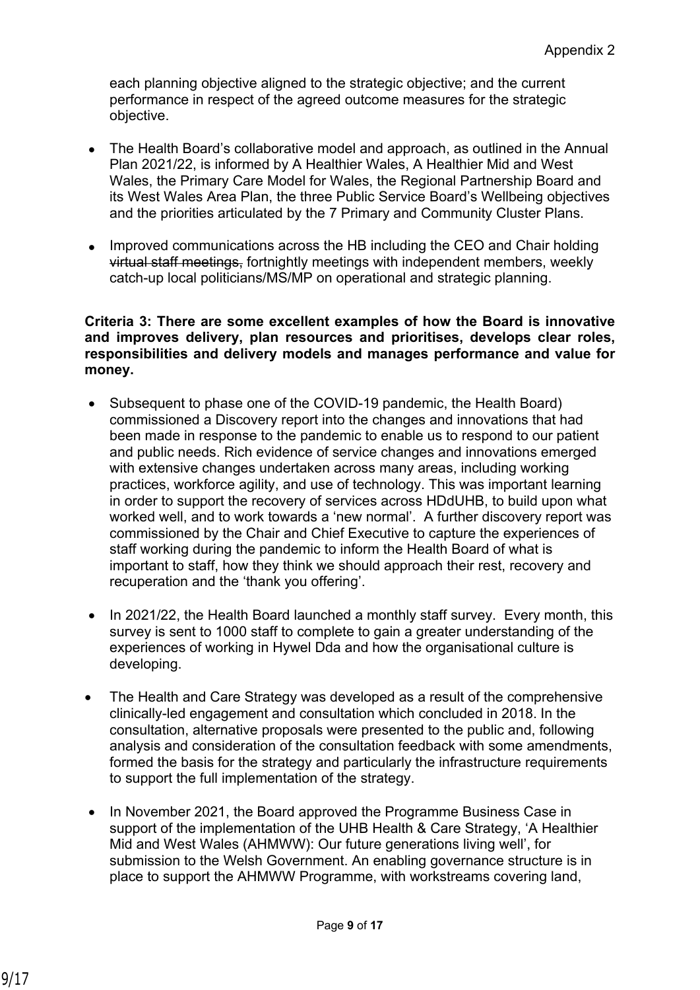each planning objective aligned to the strategic objective; and the current performance in respect of the agreed outcome measures for the strategic objective.

- The Health Board's collaborative model and approach, as outlined in the Annual Plan 2021/22, is informed by A Healthier Wales, A Healthier Mid and West Wales, the Primary Care Model for Wales, the Regional Partnership Board and its West Wales Area Plan, the three Public Service Board's Wellbeing objectives and the priorities articulated by the 7 Primary and Community Cluster Plans.
- Improved communications across the HB including the CEO and Chair holding virtual staff meetings, fortnightly meetings with independent members, weekly catch-up local politicians/MS/MP on operational and strategic planning.

#### **Criteria 3: There are some excellent examples of how the Board is innovative and improves delivery, plan resources and prioritises, develops clear roles, responsibilities and delivery models and manages performance and value for money.**

- Subsequent to phase one of the COVID-19 pandemic, the Health Board) commissioned a Discovery report into the changes and innovations that had been made in response to the pandemic to enable us to respond to our patient and public needs. Rich evidence of service changes and innovations emerged with extensive changes undertaken across many areas, including working practices, workforce agility, and use of technology. This was important learning in order to support the recovery of services across HDdUHB, to build upon what worked well, and to work towards a 'new normal'. A further discovery report was commissioned by the Chair and Chief Executive to capture the experiences of staff working during the pandemic to inform the Health Board of what is important to staff, how they think we should approach their rest, recovery and recuperation and the 'thank you offering'.
- In 2021/22, the Health Board launched a monthly staff survey. Every month, this survey is sent to 1000 staff to complete to gain a greater understanding of the experiences of working in Hywel Dda and how the organisational culture is developing.
- The Health and Care Strategy was developed as a result of the comprehensive clinically-led engagement and consultation which concluded in 2018. In the consultation, alternative proposals were presented to the public and, following analysis and consideration of the consultation feedback with some amendments, formed the basis for the strategy and particularly the infrastructure requirements to support the full implementation of the strategy.
- In November 2021, the Board approved the Programme Business Case in support of the implementation of the UHB Health & Care Strategy, 'A Healthier Mid and West Wales (AHMWW): Our future generations living well', for submission to the Welsh Government. An enabling governance structure is in place to support the AHMWW Programme, with workstreams covering land,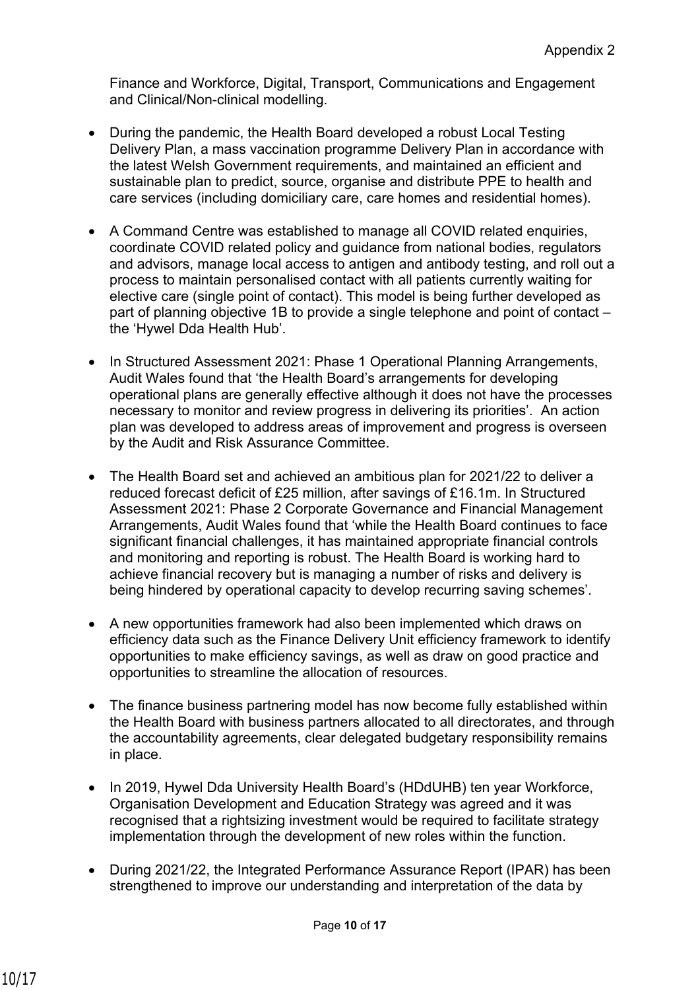Finance and Workforce, Digital, Transport, Communications and Engagement and Clinical/Non-clinical modelling.

- During the pandemic, the Health Board developed a robust Local Testing Delivery Plan, a mass vaccination programme Delivery Plan in accordance with the latest Welsh Government requirements, and maintained an efficient and sustainable plan to predict, source, organise and distribute PPE to health and care services (including domiciliary care, care homes and residential homes).
- A Command Centre was established to manage all COVID related enquiries, coordinate COVID related policy and guidance from national bodies, regulators and advisors, manage local access to antigen and antibody testing, and roll out a process to maintain personalised contact with all patients currently waiting for elective care (single point of contact). This model is being further developed as part of planning objective 1B to provide a single telephone and point of contact – the 'Hywel Dda Health Hub'.
- In Structured Assessment 2021: Phase 1 Operational Planning Arrangements, Audit Wales found that 'the Health Board's arrangements for developing operational plans are generally effective although it does not have the processes necessary to monitor and review progress in delivering its priorities'. An action plan was developed to address areas of improvement and progress is overseen by the Audit and Risk Assurance Committee.
- The Health Board set and achieved an ambitious plan for 2021/22 to deliver a reduced forecast deficit of £25 million, after savings of £16.1m. In Structured Assessment 2021: Phase 2 Corporate Governance and Financial Management Arrangements, Audit Wales found that 'while the Health Board continues to face significant financial challenges, it has maintained appropriate financial controls and monitoring and reporting is robust. The Health Board is working hard to achieve financial recovery but is managing a number of risks and delivery is being hindered by operational capacity to develop recurring saving schemes'.
- A new opportunities framework had also been implemented which draws on efficiency data such as the Finance Delivery Unit efficiency framework to identify opportunities to make efficiency savings, as well as draw on good practice and opportunities to streamline the allocation of resources.
- The finance business partnering model has now become fully established within the Health Board with business partners allocated to all directorates, and through the accountability agreements, clear delegated budgetary responsibility remains in place.
- In 2019, Hywel Dda University Health Board's (HDdUHB) ten year Workforce, Organisation Development and Education Strategy was agreed and it was recognised that a rightsizing investment would be required to facilitate strategy implementation through the development of new roles within the function.
- During 2021/22, the Integrated Performance Assurance Report (IPAR) has been strengthened to improve our understanding and interpretation of the data by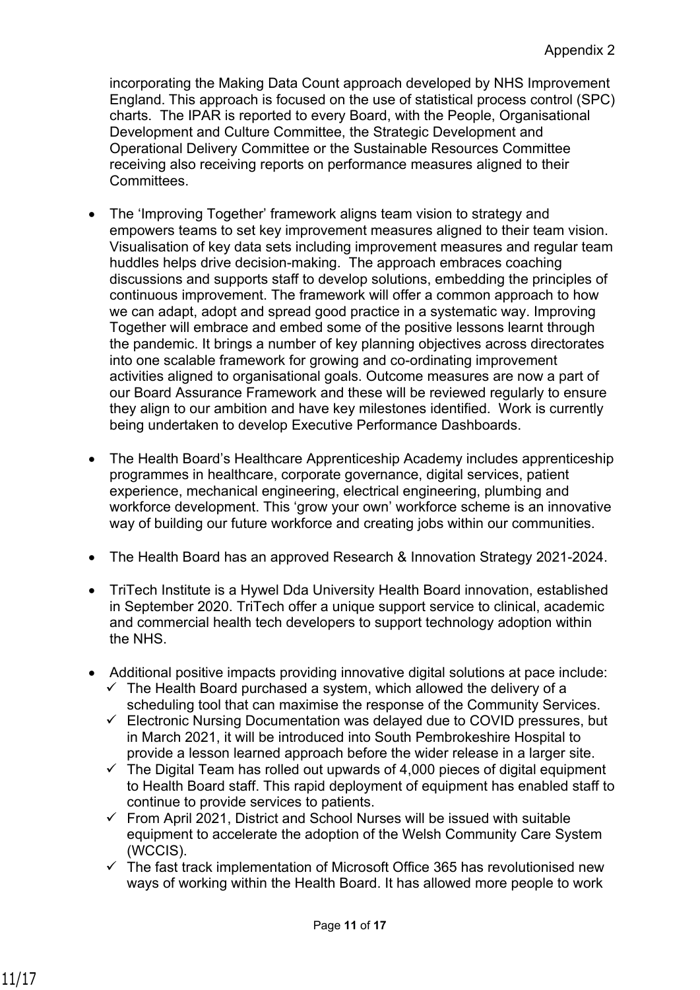incorporating the Making Data Count approach developed by NHS Improvement England. This approach is focused on the use of statistical process control (SPC) charts. The IPAR is reported to every Board, with the People, Organisational Development and Culture Committee, the Strategic Development and Operational Delivery Committee or the Sustainable Resources Committee receiving also receiving reports on performance measures aligned to their Committees.

- The 'Improving Together' framework aligns team vision to strategy and empowers teams to set key improvement measures aligned to their team vision. Visualisation of key data sets including improvement measures and regular team huddles helps drive decision-making. The approach embraces coaching discussions and supports staff to develop solutions, embedding the principles of continuous improvement. The framework will offer a common approach to how we can adapt, adopt and spread good practice in a systematic way. Improving Together will embrace and embed some of the positive lessons learnt through the pandemic. It brings a number of key planning objectives across directorates into one scalable framework for growing and co-ordinating improvement activities aligned to organisational goals. Outcome measures are now a part of our Board Assurance Framework and these will be reviewed regularly to ensure they align to our ambition and have key milestones identified. Work is currently being undertaken to develop Executive Performance Dashboards.
- The Health Board's Healthcare Apprenticeship Academy includes apprenticeship programmes in healthcare, corporate governance, digital services, patient experience, mechanical engineering, electrical engineering, plumbing and workforce development. This 'grow your own' workforce scheme is an innovative way of building our future workforce and creating jobs within our communities.
- The Health Board has an approved Research & Innovation Strategy 2021-2024.
- TriTech Institute is a Hywel Dda University Health Board innovation, established in September 2020. TriTech offer a unique support service to clinical, academic and commercial health tech developers to support technology adoption within the NHS.
- Additional positive impacts providing innovative digital solutions at pace include:
	- $\checkmark$  The Health Board purchased a system, which allowed the delivery of a scheduling tool that can maximise the response of the Community Services.
	- ✓ Electronic Nursing Documentation was delayed due to COVID pressures, but in March 2021, it will be introduced into South Pembrokeshire Hospital to provide a lesson learned approach before the wider release in a larger site.
	- $\checkmark$  The Digital Team has rolled out upwards of 4,000 pieces of digital equipment to Health Board staff. This rapid deployment of equipment has enabled staff to continue to provide services to patients.
	- $\checkmark$  From April 2021, District and School Nurses will be issued with suitable equipment to accelerate the adoption of the Welsh Community Care System (WCCIS).
	- $\checkmark$  The fast track implementation of Microsoft Office 365 has revolutionised new ways of working within the Health Board. It has allowed more people to work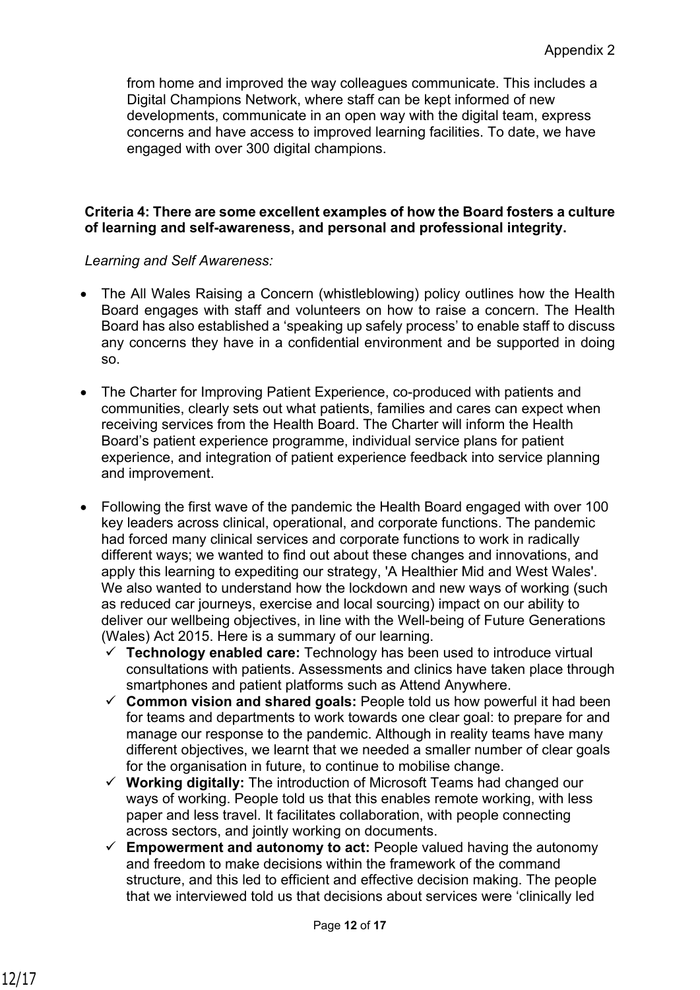from home and improved the way colleagues communicate. This includes a Digital Champions Network, where staff can be kept informed of new developments, communicate in an open way with the digital team, express concerns and have access to improved learning facilities. To date, we have engaged with over 300 digital champions.

### **Criteria 4: There are some excellent examples of how the Board fosters a culture of learning and self-awareness, and personal and professional integrity.**

### *Learning and Self Awareness:*

- The All Wales Raising a Concern (whistleblowing) policy outlines how the Health Board engages with staff and volunteers on how to raise a concern. The Health Board has also established a 'speaking up safely process' to enable staff to discuss any concerns they have in a confidential environment and be supported in doing so.
- The Charter for Improving Patient Experience, co-produced with patients and communities, clearly sets out what patients, families and cares can expect when receiving services from the Health Board. The Charter will inform the Health Board's patient experience programme, individual service plans for patient experience, and integration of patient experience feedback into service planning and improvement.
- Following the first wave of the pandemic the Health Board engaged with over 100 key leaders across clinical, operational, and corporate functions. The pandemic had forced many clinical services and corporate functions to work in radically different ways; we wanted to find out about these changes and innovations, and apply this learning to expediting our strategy, 'A Healthier Mid and West Wales'. We also wanted to understand how the lockdown and new ways of working (such as reduced car journeys, exercise and local sourcing) impact on our ability to deliver our wellbeing objectives, in line with the Well-being of Future Generations (Wales) Act 2015. Here is a summary of our learning.
	- ✓ **Technology enabled care:** Technology has been used to introduce virtual consultations with patients. Assessments and clinics have taken place through smartphones and patient platforms such as Attend Anywhere.
	- ✓ **Common vision and shared goals:** People told us how powerful it had been for teams and departments to work towards one clear goal: to prepare for and manage our response to the pandemic. Although in reality teams have many different objectives, we learnt that we needed a smaller number of clear goals for the organisation in future, to continue to mobilise change.
	- ✓ **Working digitally:** The introduction of Microsoft Teams had changed our ways of working. People told us that this enables remote working, with less paper and less travel. It facilitates collaboration, with people connecting across sectors, and jointly working on documents.
	- ✓ **Empowerment and autonomy to act:** People valued having the autonomy and freedom to make decisions within the framework of the command structure, and this led to efficient and effective decision making. The people that we interviewed told us that decisions about services were 'clinically led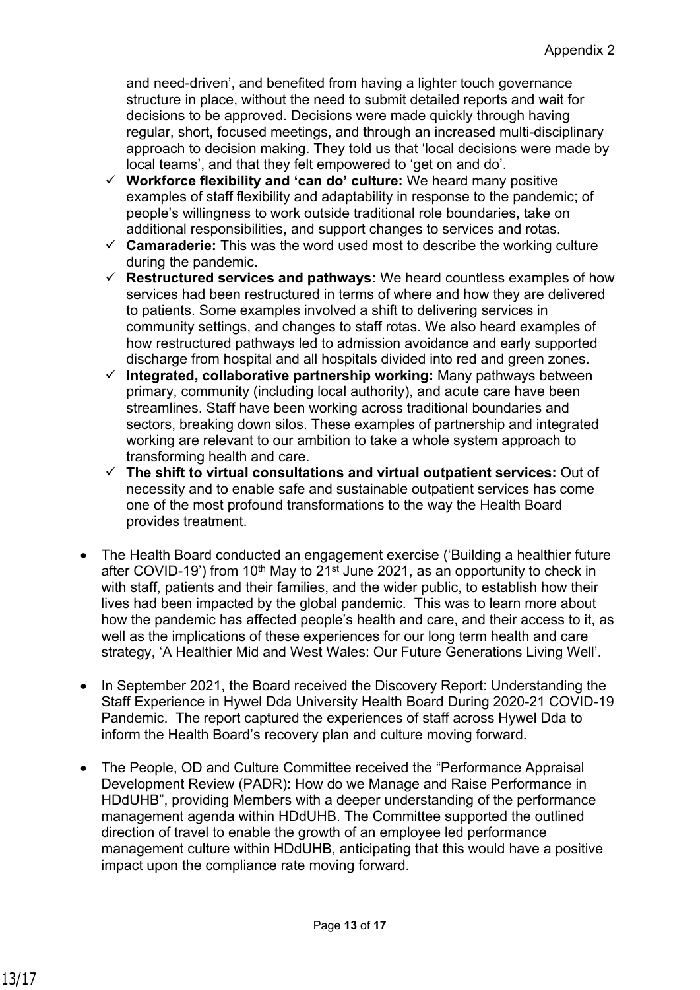and need-driven', and benefited from having a lighter touch governance structure in place, without the need to submit detailed reports and wait for decisions to be approved. Decisions were made quickly through having regular, short, focused meetings, and through an increased multi-disciplinary approach to decision making. They told us that 'local decisions were made by local teams', and that they felt empowered to 'get on and do'.

- ✓ **Workforce flexibility and 'can do' culture:** We heard many positive examples of staff flexibility and adaptability in response to the pandemic; of people's willingness to work outside traditional role boundaries, take on additional responsibilities, and support changes to services and rotas.
- ✓ **Camaraderie:** This was the word used most to describe the working culture during the pandemic.
- ✓ **Restructured services and pathways:** We heard countless examples of how services had been restructured in terms of where and how they are delivered to patients. Some examples involved a shift to delivering services in community settings, and changes to staff rotas. We also heard examples of how restructured pathways led to admission avoidance and early supported discharge from hospital and all hospitals divided into red and green zones.
- ✓ **Integrated, collaborative partnership working:** Many pathways between primary, community (including local authority), and acute care have been streamlines. Staff have been working across traditional boundaries and sectors, breaking down silos. These examples of partnership and integrated working are relevant to our ambition to take a whole system approach to transforming health and care.
- ✓ **The shift to virtual consultations and virtual outpatient services:** Out of necessity and to enable safe and sustainable outpatient services has come one of the most profound transformations to the way the Health Board provides treatment.
- The Health Board conducted an engagement exercise ('Building a healthier future after COVID-19') from 10<sup>th</sup> May to 21<sup>st</sup> June 2021, as an opportunity to check in with staff, patients and their families, and the wider public, to establish how their lives had been impacted by the global pandemic. This was to learn more about how the pandemic has affected people's health and care, and their access to it, as well as the implications of these experiences for our long term health and care strategy, 'A Healthier Mid and West Wales: Our Future Generations Living Well'.
- In September 2021, the Board received the Discovery Report: Understanding the Staff Experience in Hywel Dda University Health Board During 2020-21 COVID-19 Pandemic. The report captured the experiences of staff across Hywel Dda to inform the Health Board's recovery plan and culture moving forward.
- The People, OD and Culture Committee received the "Performance Appraisal Development Review (PADR): How do we Manage and Raise Performance in HDdUHB", providing Members with a deeper understanding of the performance management agenda within HDdUHB. The Committee supported the outlined direction of travel to enable the growth of an employee led performance management culture within HDdUHB, anticipating that this would have a positive impact upon the compliance rate moving forward.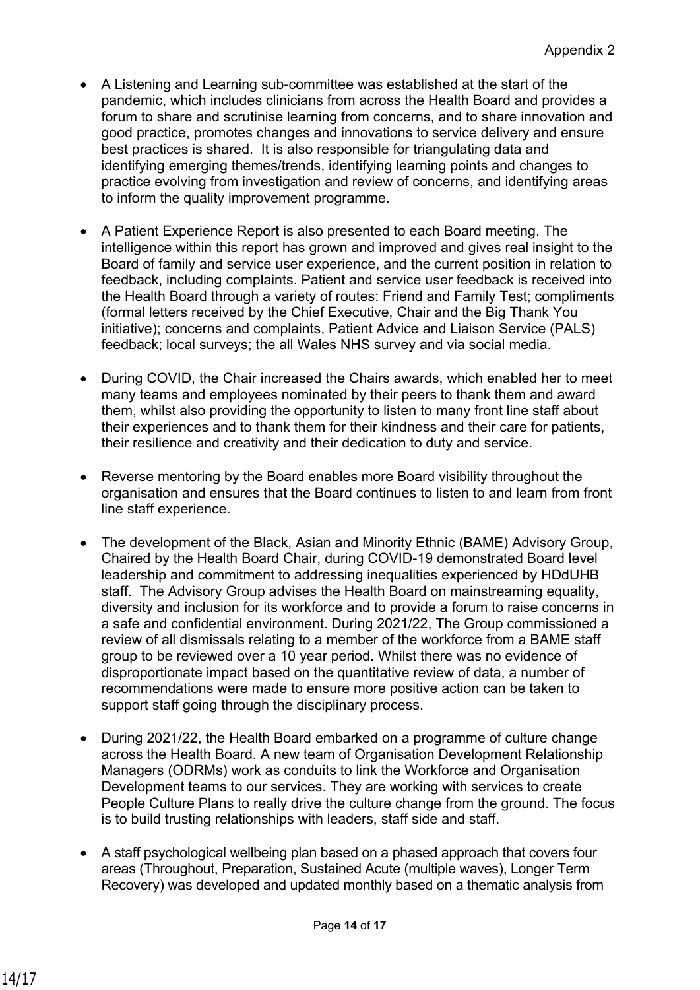- A Listening and Learning sub-committee was established at the start of the pandemic, which includes clinicians from across the Health Board and provides a forum to share and scrutinise learning from concerns, and to share innovation and good practice, promotes changes and innovations to service delivery and ensure best practices is shared. It is also responsible for triangulating data and identifying emerging themes/trends, identifying learning points and changes to practice evolving from investigation and review of concerns, and identifying areas to inform the quality improvement programme.
- A Patient Experience Report is also presented to each Board meeting. The intelligence within this report has grown and improved and gives real insight to the Board of family and service user experience, and the current position in relation to feedback, including complaints. Patient and service user feedback is received into the Health Board through a variety of routes: Friend and Family Test; compliments (formal letters received by the Chief Executive, Chair and the Big Thank You initiative); concerns and complaints, Patient Advice and Liaison Service (PALS) feedback; local surveys; the all Wales NHS survey and via social media.
- During COVID, the Chair increased the Chairs awards, which enabled her to meet many teams and employees nominated by their peers to thank them and award them, whilst also providing the opportunity to listen to many front line staff about their experiences and to thank them for their kindness and their care for patients, their resilience and creativity and their dedication to duty and service.
- Reverse mentoring by the Board enables more Board visibility throughout the organisation and ensures that the Board continues to listen to and learn from front line staff experience.
- The development of the Black, Asian and Minority Ethnic (BAME) Advisory Group, Chaired by the Health Board Chair, during COVID-19 demonstrated Board level leadership and commitment to addressing inequalities experienced by HDdUHB staff. The Advisory Group advises the Health Board on mainstreaming equality, diversity and inclusion for its workforce and to provide a forum to raise concerns in a safe and confidential environment. During 2021/22, The Group commissioned a review of all dismissals relating to a member of the workforce from a BAME staff group to be reviewed over a 10 year period. Whilst there was no evidence of disproportionate impact based on the quantitative review of data, a number of recommendations were made to ensure more positive action can be taken to support staff going through the disciplinary process.
- During 2021/22, the Health Board embarked on a programme of culture change across the Health Board. A new team of Organisation Development Relationship Managers (ODRMs) work as conduits to link the Workforce and Organisation Development teams to our services. They are working with services to create People Culture Plans to really drive the culture change from the ground. The focus is to build trusting relationships with leaders, staff side and staff.
- A staff psychological wellbeing plan based on a phased approach that covers four areas (Throughout, Preparation, Sustained Acute (multiple waves), Longer Term Recovery) was developed and updated monthly based on a thematic analysis from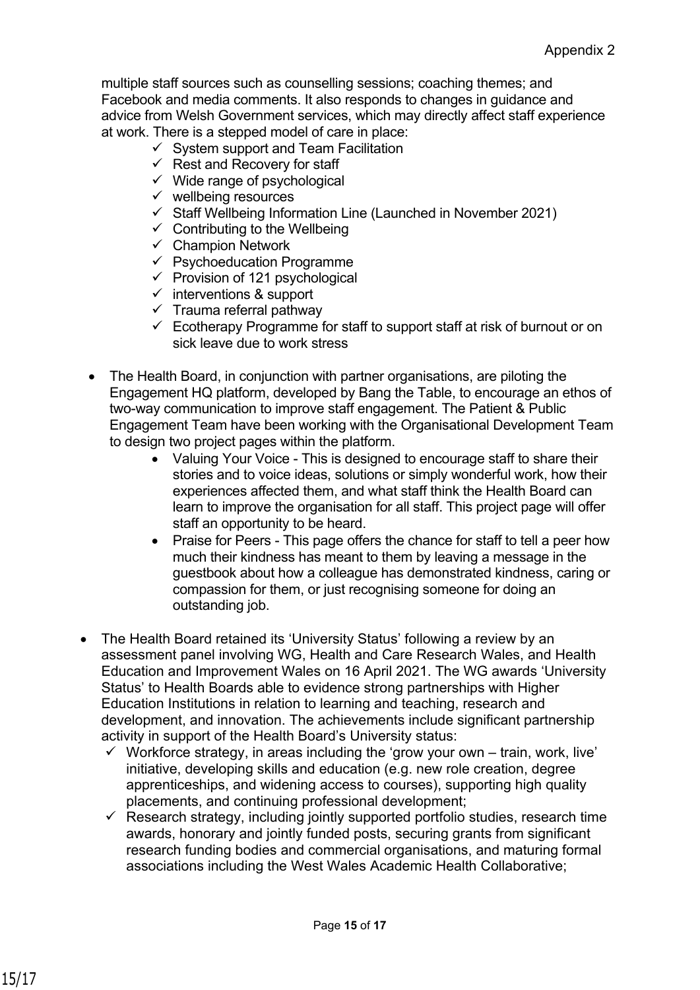multiple staff sources such as counselling sessions; coaching themes; and Facebook and media comments. It also responds to changes in guidance and advice from Welsh Government services, which may directly affect staff experience at work. There is a stepped model of care in place:

- $\checkmark$  System support and Team Facilitation
- $\checkmark$  Rest and Recovery for staff
- $\checkmark$  Wide range of psychological
- $\checkmark$  wellbeing resources
- ✓ Staff Wellbeing Information Line (Launched in November 2021)
- $\checkmark$  Contributing to the Wellbeing
- $\checkmark$  Champion Network
- $\checkmark$  Psychoeducation Programme
- $\checkmark$  Provision of 121 psychological
- $\checkmark$  interventions & support
- $\checkmark$  Trauma referral pathway
- $\checkmark$  Ecotherapy Programme for staff to support staff at risk of burnout or on sick leave due to work stress
- The Health Board, in conjunction with partner organisations, are piloting the Engagement HQ platform, developed by Bang the Table, to encourage an ethos of two-way communication to improve staff engagement. The Patient & Public Engagement Team have been working with the Organisational Development Team to design two project pages within the platform.
	- Valuing Your Voice This is designed to encourage staff to share their stories and to voice ideas, solutions or simply wonderful work, how their experiences affected them, and what staff think the Health Board can learn to improve the organisation for all staff. This project page will offer staff an opportunity to be heard.
	- Praise for Peers This page offers the chance for staff to tell a peer how much their kindness has meant to them by leaving a message in the guestbook about how a colleague has demonstrated kindness, caring or compassion for them, or just recognising someone for doing an outstanding job.
- The Health Board retained its 'University Status' following a review by an assessment panel involving WG, Health and Care Research Wales, and Health Education and Improvement Wales on 16 April 2021. The WG awards 'University Status' to Health Boards able to evidence strong partnerships with Higher Education Institutions in relation to learning and teaching, research and development, and innovation. The achievements include significant partnership activity in support of the Health Board's University status:
	- $\checkmark$  Workforce strategy, in areas including the 'grow your own train, work, live' initiative, developing skills and education (e.g. new role creation, degree apprenticeships, and widening access to courses), supporting high quality placements, and continuing professional development;
	- $\checkmark$  Research strategy, including jointly supported portfolio studies, research time awards, honorary and jointly funded posts, securing grants from significant research funding bodies and commercial organisations, and maturing formal associations including the West Wales Academic Health Collaborative;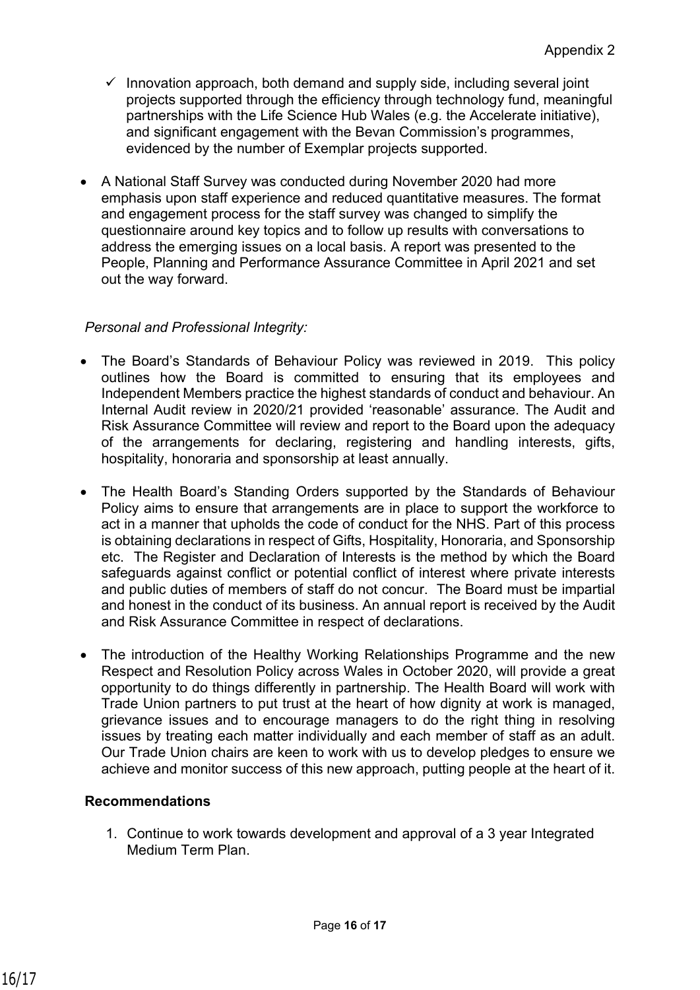- $\checkmark$  Innovation approach, both demand and supply side, including several joint projects supported through the efficiency through technology fund, meaningful partnerships with the Life Science Hub Wales (e.g. the Accelerate initiative), and significant engagement with the Bevan Commission's programmes, evidenced by the number of Exemplar projects supported.
- A National Staff Survey was conducted during November 2020 had more emphasis upon staff experience and reduced quantitative measures. The format and engagement process for the staff survey was changed to simplify the questionnaire around key topics and to follow up results with conversations to address the emerging issues on a local basis. A report was presented to the People, Planning and Performance Assurance Committee in April 2021 and set out the way forward.

## *Personal and Professional Integrity:*

- The Board's Standards of Behaviour Policy was reviewed in 2019. This policy outlines how the Board is committed to ensuring that its employees and Independent Members practice the highest standards of conduct and behaviour. An Internal Audit review in 2020/21 provided 'reasonable' assurance. The Audit and Risk Assurance Committee will review and report to the Board upon the adequacy of the arrangements for declaring, registering and handling interests, gifts, hospitality, honoraria and sponsorship at least annually.
- The Health Board's Standing Orders supported by the Standards of Behaviour Policy aims to ensure that arrangements are in place to support the workforce to act in a manner that upholds the code of conduct for the NHS. Part of this process is obtaining declarations in respect of Gifts, Hospitality, Honoraria, and Sponsorship etc. The Register and Declaration of Interests is the method by which the Board safeguards against conflict or potential conflict of interest where private interests and public duties of members of staff do not concur. The Board must be impartial and honest in the conduct of its business. An annual report is received by the Audit and Risk Assurance Committee in respect of declarations.
- The introduction of the Healthy Working Relationships Programme and the new Respect and Resolution Policy across Wales in October 2020, will provide a great opportunity to do things differently in partnership. The Health Board will work with Trade Union partners to put trust at the heart of how dignity at work is managed, grievance issues and to encourage managers to do the right thing in resolving issues by treating each matter individually and each member of staff as an adult. Our Trade Union chairs are keen to work with us to develop pledges to ensure we achieve and monitor success of this new approach, putting people at the heart of it.

# **Recommendations**

1. Continue to work towards development and approval of a 3 year Integrated Medium Term Plan.